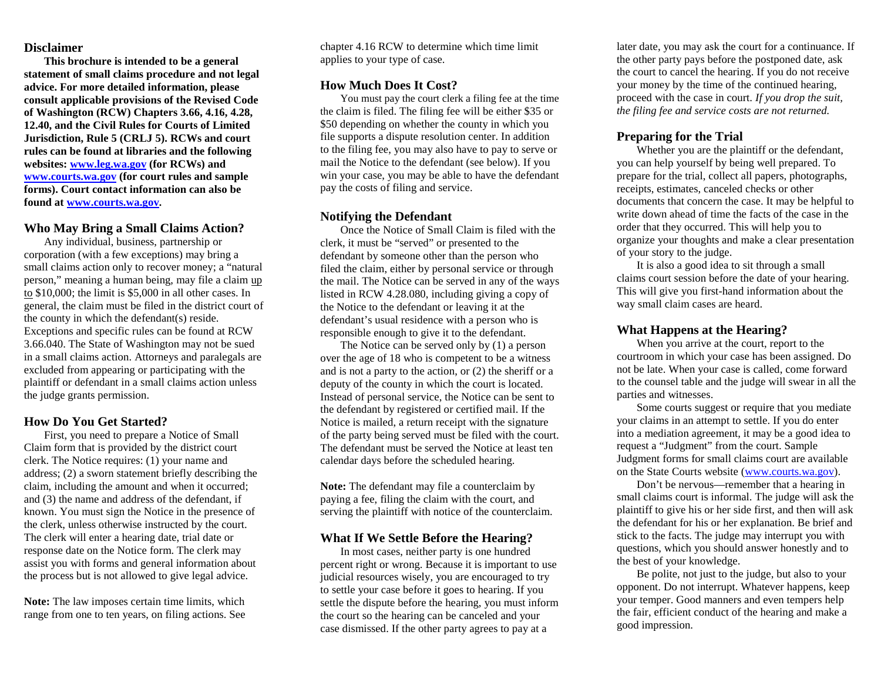#### **Disclaimer**

**This brochure is intended to be a general statement of small claims procedure and not legal advice. For more detailed information, please consult applicable provisions of the Revised Code of Washington (RCW) Chapters 3.66, 4.16, 4.28, 12.40, and the Civil Rules for Courts of Limited Jurisdiction, Rule 5 (CRLJ 5). RCWs and court rules can be found at libraries and the following websites: [www.leg.wa.gov](http://www.leg.wa.gov/) (for RCWs) and [www.courts.wa.gov](http://www.courts.wa.gov/) (for court rules and sample forms). Court contact information can also be found at [www.courts.wa.gov.](http://www.courts.wa.gov/)**

## **Who May Bring a Small Claims Action?**

Any individual, business, partnership or corporation (with a few exceptions) may bring a small claims action only to recover money; a "natural person," meaning a human being, may file a claim up to \$10,000; the limit is \$5,000 in all other cases. In general, the claim must be filed in the district court of the county in which the defendant(s) reside. Exceptions and specific rules can be found at RCW 3.66.040. The State of Washington may not be sued in a small claims action. Attorneys and paralegals are excluded from appearing or participating with the plaintiff or defendant in a small claims action unless the judge grants permission.

#### **How Do You Get Started?**

First, you need to prepare a Notice of Small Claim form that is provided by the district court clerk. The Notice requires: (1) your name and address; (2) a sworn statement briefly describing the claim, including the amount and when it occurred; and (3) the name and address of the defendant, if known. You must sign the Notice in the presence of the clerk, unless otherwise instructed by the court. The clerk will enter a hearing date, trial date or response date on the Notice form. The clerk may assist you with forms and general information about the process but is not allowed to give legal advice.

**Note:** The law imposes certain time limits, which range from one to ten years, on filing actions. See chapter 4.16 RCW to determine which time limit applies to your type of case.

## **How Much Does It Cost?**

You must pay the court clerk a filing fee at the time the claim is filed. The filing fee will be either \$35 or \$50 depending on whether the county in which you file supports a dispute resolution center. In addition to the filing fee, you may also have to pay to serve or mail the Notice to the defendant (see below). If you win your case, you may be able to have the defendant pay the costs of filing and service.

## **Notifying the Defendant**

Once the Notice of Small Claim is filed with the clerk, it must be "served" or presented to the defendant by someone other than the person who filed the claim, either by personal service or through the mail. The Notice can be served in any of the ways listed in RCW 4.28.080, including giving a copy of the Notice to the defendant or leaving it at the defendant's usual residence with a person who is responsible enough to give it to the defendant.

The Notice can be served only by (1) a person over the age of 18 who is competent to be a witness and is not a party to the action, or (2) the sheriff or a deputy of the county in which the court is located. Instead of personal service, the Notice can be sent to the defendant by registered or certified mail. If the Notice is mailed, a return receipt with the signature of the party being served must be filed with the court. The defendant must be served the Notice at least ten calendar days before the scheduled hearing.

**Note:** The defendant may file a counterclaim by paying a fee, filing the claim with the court, and serving the plaintiff with notice of the counterclaim.

#### **What If We Settle Before the Hearing?**

In most cases, neither party is one hundred percent right or wrong. Because it is important to use judicial resources wisely, you are encouraged to try to settle your case before it goes to hearing. If you settle the dispute before the hearing, you must inform the court so the hearing can be canceled and your case dismissed. If the other party agrees to pay at a

later date, you may ask the court for a continuance. If the other party pays before the postponed date, ask the court to cancel the hearing. If you do not receive your money by the time of the continued hearing, proceed with the case in court. *If you drop the suit, the filing fee and service costs are not returned.*

## **Preparing for the Trial**

Whether you are the plaintiff or the defendant, you can help yourself by being well prepared. To prepare for the trial, collect all papers, photographs, receipts, estimates, canceled checks or other documents that concern the case. It may be helpful to write down ahead of time the facts of the case in the order that they occurred. This will help you to organize your thoughts and make a clear presentation of your story to the judge.

It is also a good idea to sit through a small claims court session before the date of your hearing. This will give you first-hand information about the way small claim cases are heard.

## **What Happens at the Hearing?**

When you arrive at the court, report to the courtroom in which your case has been assigned. Do not be late. When your case is called, come forward to the counsel table and the judge will swear in all the parties and witnesses.

Some courts suggest or require that you mediate your claims in an attempt to settle. If you do enter into a mediation agreement, it may be a good idea to request a "Judgment" from the court. Sample Judgment forms for small claims court are available on the State Courts website [\(www.courts.wa.gov\)](http://www.courts.wa.gov/).

Don't be nervous—remember that a hearing in small claims court is informal. The judge will ask the plaintiff to give his or her side first, and then will ask the defendant for his or her explanation. Be brief and stick to the facts. The judge may interrupt you with questions, which you should answer honestly and to the best of your knowledge.

Be polite, not just to the judge, but also to your opponent. Do not interrupt. Whatever happens, keep your temper. Good manners and even tempers help the fair, efficient conduct of the hearing and make a good impression.